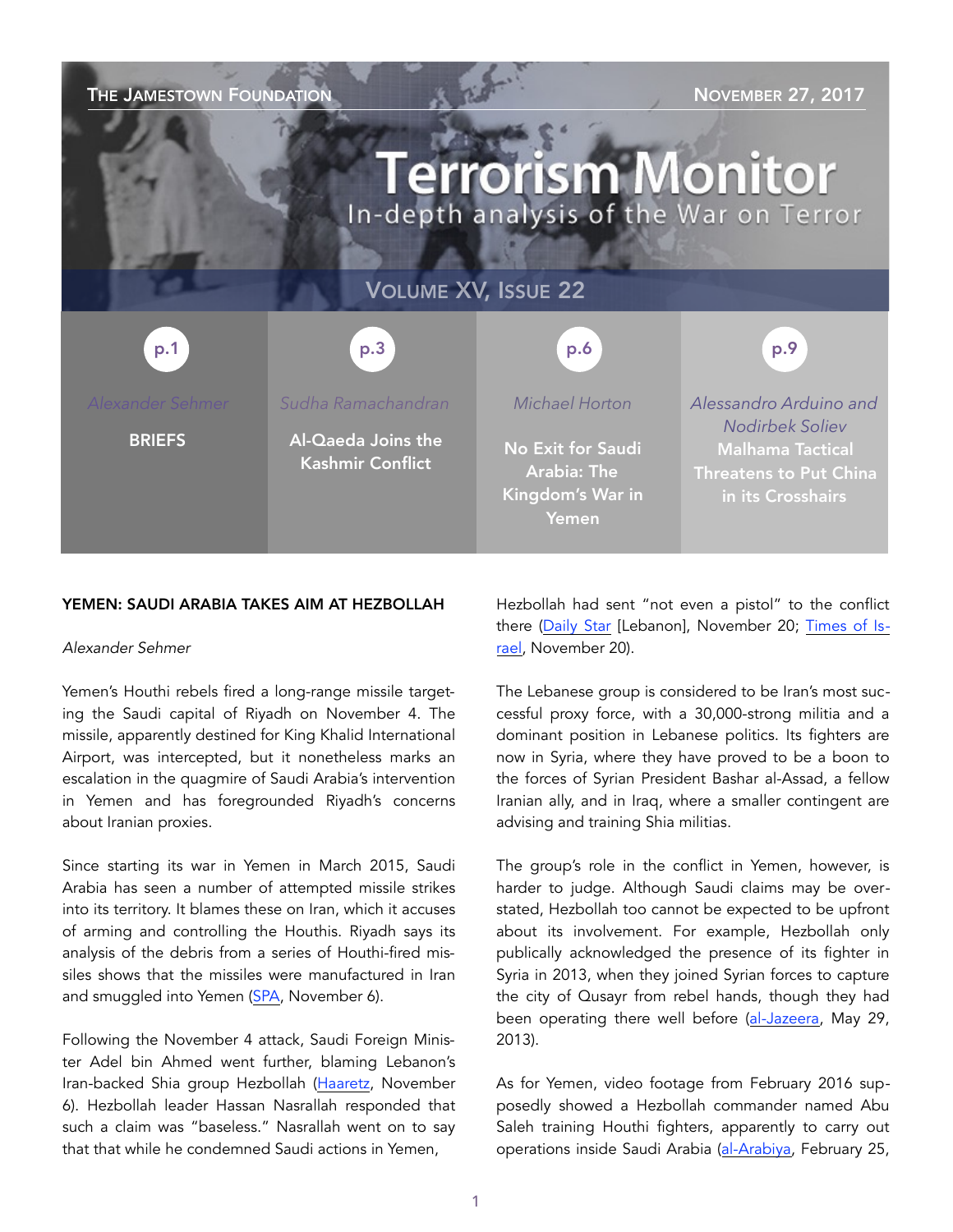| THE JAMESTOWN FOUNDATION<br><b>NOVEMBER 27, 2017</b><br><b>Terrorism Monitor</b><br>In-depth analysis of the War on Terror |                                               |                                                                      |                                                                                                         |
|----------------------------------------------------------------------------------------------------------------------------|-----------------------------------------------|----------------------------------------------------------------------|---------------------------------------------------------------------------------------------------------|
| <b>VOLUME XV, ISSUE 22</b>                                                                                                 |                                               |                                                                      |                                                                                                         |
| p.1                                                                                                                        | p.3                                           | p.6                                                                  | p.9                                                                                                     |
| Alexander Sehmer                                                                                                           | Sudha Ramachandran                            | Michael Horton                                                       | Alessandro Arduino and                                                                                  |
| <b>BRIEFS</b>                                                                                                              | Al-Qaeda Joins the<br><b>Kashmir Conflict</b> | No Exit for Saudi<br><b>Arabia: The</b><br>Kingdom's War in<br>Yemen | <b>Nodirbek Soliev</b><br><b>Malhama Tactical</b><br><b>Threatens to Put China</b><br>in its Crosshairs |

#### YEMEN: SAUDI ARABIA TAKES AIM AT HEZBOLLAH

#### *Alexander Sehmer*

Yemen's Houthi rebels fired a long-range missile targeting the Saudi capital of Riyadh on November 4. The missile, apparently destined for King Khalid International Airport, was intercepted, but it nonetheless marks an escalation in the quagmire of Saudi Arabia's intervention in Yemen and has foregrounded Riyadh's concerns about Iranian proxies.

Since starting its war in Yemen in March 2015, Saudi Arabia has seen a number of attempted missile strikes into its territory. It blames these on Iran, which it accuses of arming and controlling the Houthis. Riyadh says its analysis of the debris from a series of Houthi-fired missiles shows that the missiles were manufactured in Iran and smuggled into Yemen [\(SPA,](http://www.spa.gov.sa/viewfullstory.php?lang=en&newsid=1684682%22%20%5Cl%20%221684682) November 6).

Following the November 4 attack, Saudi Foreign Minister Adel bin Ahmed went further, blaming Lebanon's Iran-backed Shia group Hezbollah ([Haaretz,](https://www.haaretz.com/middle-east-news/1.821369) November 6). Hezbollah leader Hassan Nasrallah responded that such a claim was "baseless." Nasrallah went on to say that that while he condemned Saudi actions in Yemen,

Hezbollah had sent "not even a pistol" to the conflict there ([Daily Star](https://www.dailystar.com.lb/News/Lebanon-News/2017/Nov-20/427190-hezbollah-denies-role-in-firing-missile-from-yemen-at-riyadh.ashx) [Lebanon], November 20; [Times of Is](https://www.timesofisrael.com/hezbollah-says-it-only-arms-gaza-denies-sending-missiles-to-yemen/)[rael,](https://www.timesofisrael.com/hezbollah-says-it-only-arms-gaza-denies-sending-missiles-to-yemen/) November 20).

The Lebanese group is considered to be Iran's most successful proxy force, with a 30,000-strong militia and a dominant position in Lebanese politics. Its fighters are now in Syria, where they have proved to be a boon to the forces of Syrian President Bashar al-Assad, a fellow Iranian ally, and in Iraq, where a smaller contingent are advising and training Shia militias.

The group's role in the conflict in Yemen, however, is harder to judge. Although Saudi claims may be overstated, Hezbollah too cannot be expected to be upfront about its involvement. For example, Hezbollah only publically acknowledged the presence of its fighter in Syria in 2013, when they joined Syrian forces to capture the city of Qusayr from rebel hands, though they had been operating there well before ([al-Jazeera,](http://www.aljazeera.com/news/middleeast/2013/05/2013529105510937115.html) May 29, 2013).

As for Yemen, video footage from February 2016 supposedly showed a Hezbollah commander named Abu Saleh training Houthi fighters, apparently to carry out operations inside Saudi Arabia ([al-Arabiya,](https://english.alarabiya.net/en/News/middle-east/2016/02/25/VIDEO-Evidence-of-Hezbollah-coaching-Houthis-planning-attacks-on-Riyadh.html) February 25,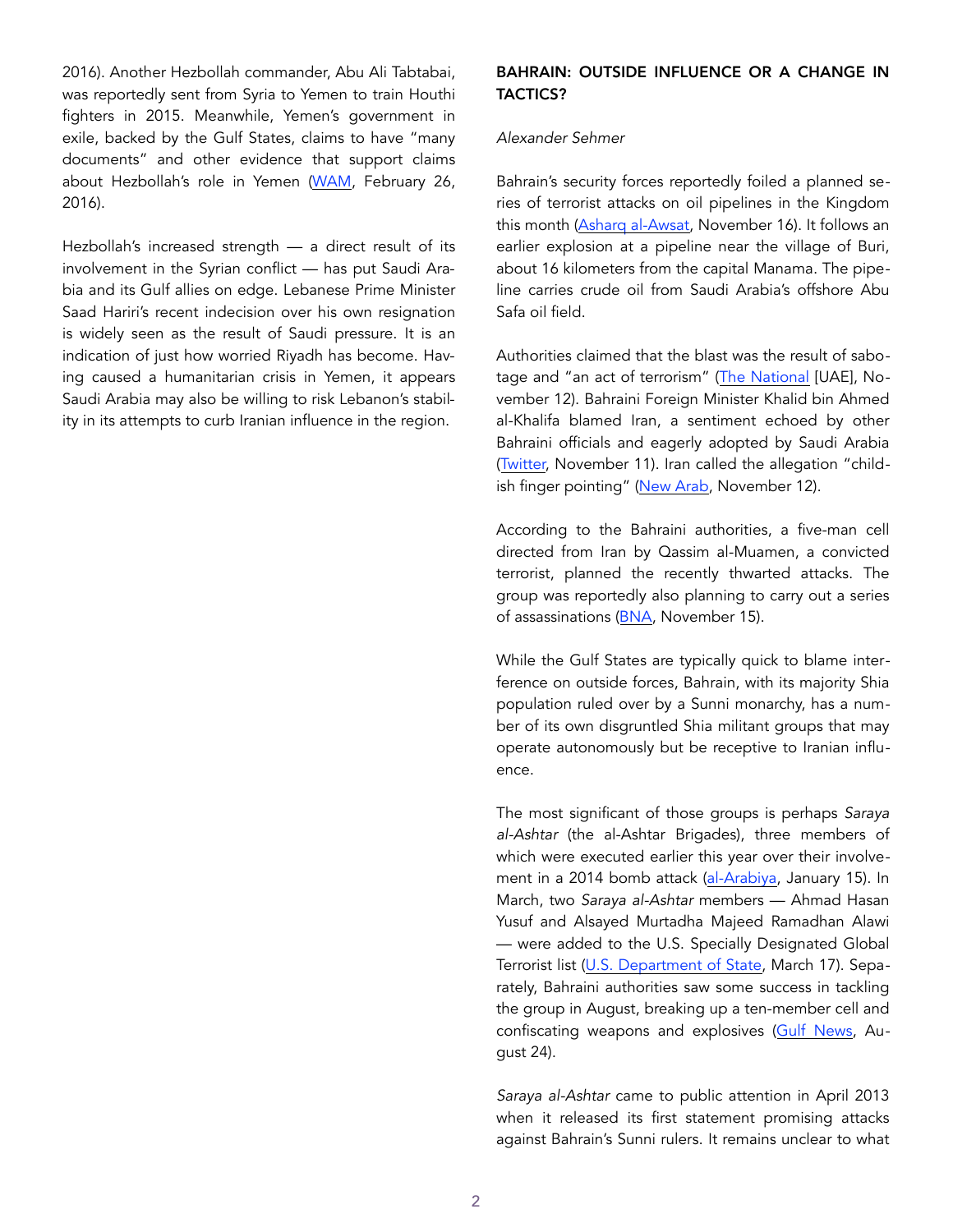2016). Another Hezbollah commander, Abu Ali Tabtabai, was reportedly sent from Syria to Yemen to train Houthi fighters in 2015. Meanwhile, Yemen's government in exile, backed by the Gulf States, claims to have "many documents" and other evidence that support claims about Hezbollah's role in Yemen ([WAM,](http://wam.ae/en/details/1395292084649) February 26, 2016).

Hezbollah's increased strength — a direct result of its involvement in the Syrian conflict — has put Saudi Arabia and its Gulf allies on edge. Lebanese Prime Minister Saad Hariri's recent indecision over his own resignation is widely seen as the result of Saudi pressure. It is an indication of just how worried Riyadh has become. Having caused a humanitarian crisis in Yemen, it appears Saudi Arabia may also be willing to risk Lebanon's stability in its attempts to curb Iranian influence in the region.

# BAHRAIN: OUTSIDE INFLUENCE OR A CHANGE IN TACTICS?

#### *Alexander Sehmer*

Bahrain's security forces reportedly foiled a planned series of terrorist attacks on oil pipelines in the Kingdom this month ([Asharq al-Awsat](https://aawsat.com/english/home/article/1085576/bahrain-terrorist-plot-assassinate-figures-target-oil-pipelines-thwarted), November 16). It follows an earlier explosion at a pipeline near the village of Buri, about 16 kilometers from the capital Manama. The pipeline carries crude oil from Saudi Arabia's offshore Abu Safa oil field.

Authorities claimed that the blast was the result of sabotage and "an act of terrorism" [\(The National](https://www.thenational.ae/world/gcc/bahrain-says-iran-behind-oil-pipeline-explosion-1.674984) [UAE], November 12). Bahraini Foreign Minister Khalid bin Ahmed al-Khalifa blamed Iran, a sentiment echoed by other Bahraini officials and eagerly adopted by Saudi Arabia ([Twitter,](https://twitter.com/khalidalkhalifa/status/929332188755234817) November 11). Iran called the allegation "child-ish finger pointing" ([New Arab,](https://www.alaraby.co.uk/english/news/2017/11/12/iran-denies-involvement-in-bahrain-pipeline-explosion) November 12).

According to the Bahraini authorities, a five-man cell directed from Iran by Qassim al-Muamen, a convicted terrorist, planned the recently thwarted attacks. The group was reportedly also planning to carry out a series of assassinations [\(BNA](http://www.bna.bh/portal/en/news/811572), November 15).

While the Gulf States are typically quick to blame interference on outside forces, Bahrain, with its majority Shia population ruled over by a Sunni monarchy, has a number of its own disgruntled Shia militant groups that may operate autonomously but be receptive to Iranian influence.

The most significant of those groups is perhaps *Saraya al-Ashtar* (the al-Ashtar Brigades), three members of which were executed earlier this year over their involvement in a 2014 bomb attack ([al-Arabiya,](https://english.alarabiya.net/en/News/gulf/2017/01/15/Bahrain-executes-three-over-police-killings-.html) January 15). In March, two *Saraya al-Ashtar* members — Ahmad Hasan Yusuf and Alsayed Murtadha Majeed Ramadhan Alawi — were added to the U.S. Specially Designated Global Terrorist list ([U.S. Department of State,](https://www.state.gov/r/pa/prs/ps/2017/03/268504.htm) March 17). Separately, Bahraini authorities saw some success in tackling the group in August, breaking up a ten-member cell and confiscating weapons and explosives [\(Gulf News,](http://gulfnews.com/news/gulf/bahrain/bahrain-busts-10-member-terror-cell-1.2079681) August 24).

*Saraya al-Ashtar* came to public attention in April 2013 when it released its first statement promising attacks against Bahrain's Sunni rulers. It remains unclear to what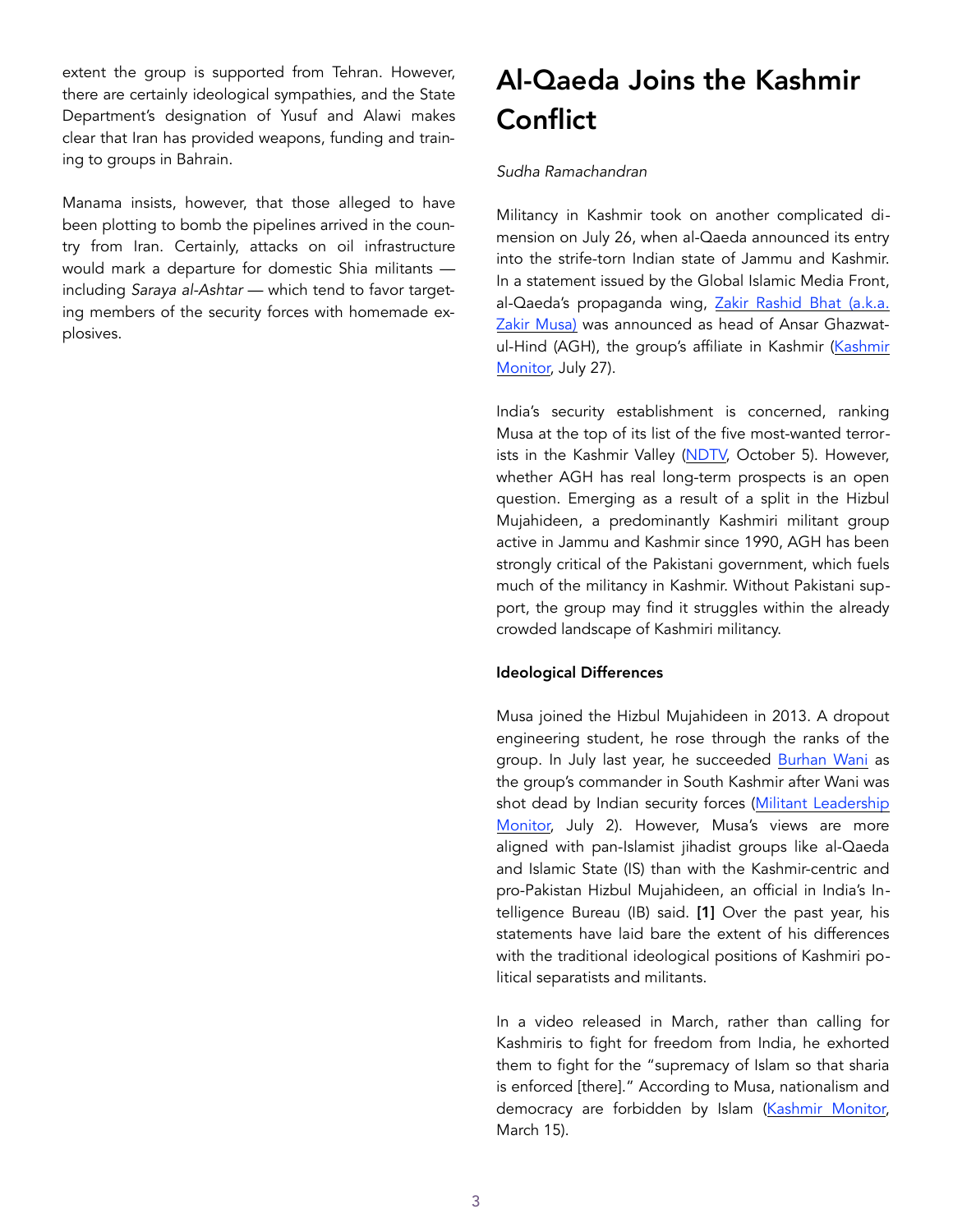extent the group is supported from Tehran. However, there are certainly ideological sympathies, and the State Department's designation of Yusuf and Alawi makes clear that Iran has provided weapons, funding and training to groups in Bahrain.

Manama insists, however, that those alleged to have been plotting to bomb the pipelines arrived in the country from Iran. Certainly, attacks on oil infrastructure would mark a departure for domestic Shia militants including *Saraya al-Ashtar* — which tend to favor targeting members of the security forces with homemade explosives.

# Al-Qaeda Joins the Kashmir **Conflict**

## *Sudha Ramachandran*

Militancy in Kashmir took on another complicated dimension on July 26, when al-Qaeda announced its entry into the strife-torn Indian state of Jammu and Kashmir. In a statement issued by the Global Islamic Media Front, al-Qaeda's propaganda wing, Zakir Rashid Bhat (a.k.a. [Zakir Musa\)](https://jamestown.org/organization/zakir-musa/) was announced as head of Ansar Ghazwatul-Hind (AGH), the group's affiliate in Kashmir [\(Kashmir](https://www.kashmirmonitor.in/Details/128797/zakir-musa-is-head-of-new-al-qaida-linked-cell-in-kashmir)  [Monitor,](https://www.kashmirmonitor.in/Details/128797/zakir-musa-is-head-of-new-al-qaida-linked-cell-in-kashmir) July 27).

India's security establishment is concerned, ranking Musa at the top of its list of the five most-wanted terror-ists in the Kashmir Valley ([NDTV,](https://www.ndtv.com/india-news/zakir-musa-tops-new-list-of-5-most-wanted-terrorists-in-kashmir-valley-1758733) October 5). However, whether AGH has real long-term prospects is an open question. Emerging as a result of a split in the Hizbul Mujahideen, a predominantly Kashmiri militant group active in Jammu and Kashmir since 1990, AGH has been strongly critical of the Pakistani government, which fuels much of the militancy in Kashmir. Without Pakistani support, the group may find it struggles within the already crowded landscape of Kashmiri militancy.

# Ideological Differences

Musa joined the Hizbul Mujahideen in 2013. A dropout engineering student, he rose through the ranks of the group. In July last year, he succeeded [Burhan Wani](https://jamestown.org/organization/burhan-muzafar-wani/) as the group's commander in South Kashmir after Wani was shot dead by Indian security forces ([Militant Leadership](https://jamestown.org/program/burhan-muzafar-wani-the-viral-poster-boy-of-kashmir-jihad/)  [Monitor,](https://jamestown.org/program/burhan-muzafar-wani-the-viral-poster-boy-of-kashmir-jihad/) July 2). However, Musa's views are more aligned with pan-Islamist jihadist groups like al-Qaeda and Islamic State (IS) than with the Kashmir-centric and pro-Pakistan Hizbul Mujahideen, an official in India's Intelligence Bureau (IB) said. [1] Over the past year, his statements have laid bare the extent of his differences with the traditional ideological positions of Kashmiri political separatists and militants.

In a video released in March, rather than calling for Kashmiris to fight for freedom from India, he exhorted them to fight for the "supremacy of Islam so that sharia is enforced [there]." According to Musa, nationalism and democracy are forbidden by Islam ([Kashmir Monitor,](https://www.kashmirmonitor.in/Details/119757/hizb-kashmir-chief-terms-nationalism-%E2%80%98un-islamic-asks-militants-stone-throwers-to-%E2%80%98fight-for-islam) March 15).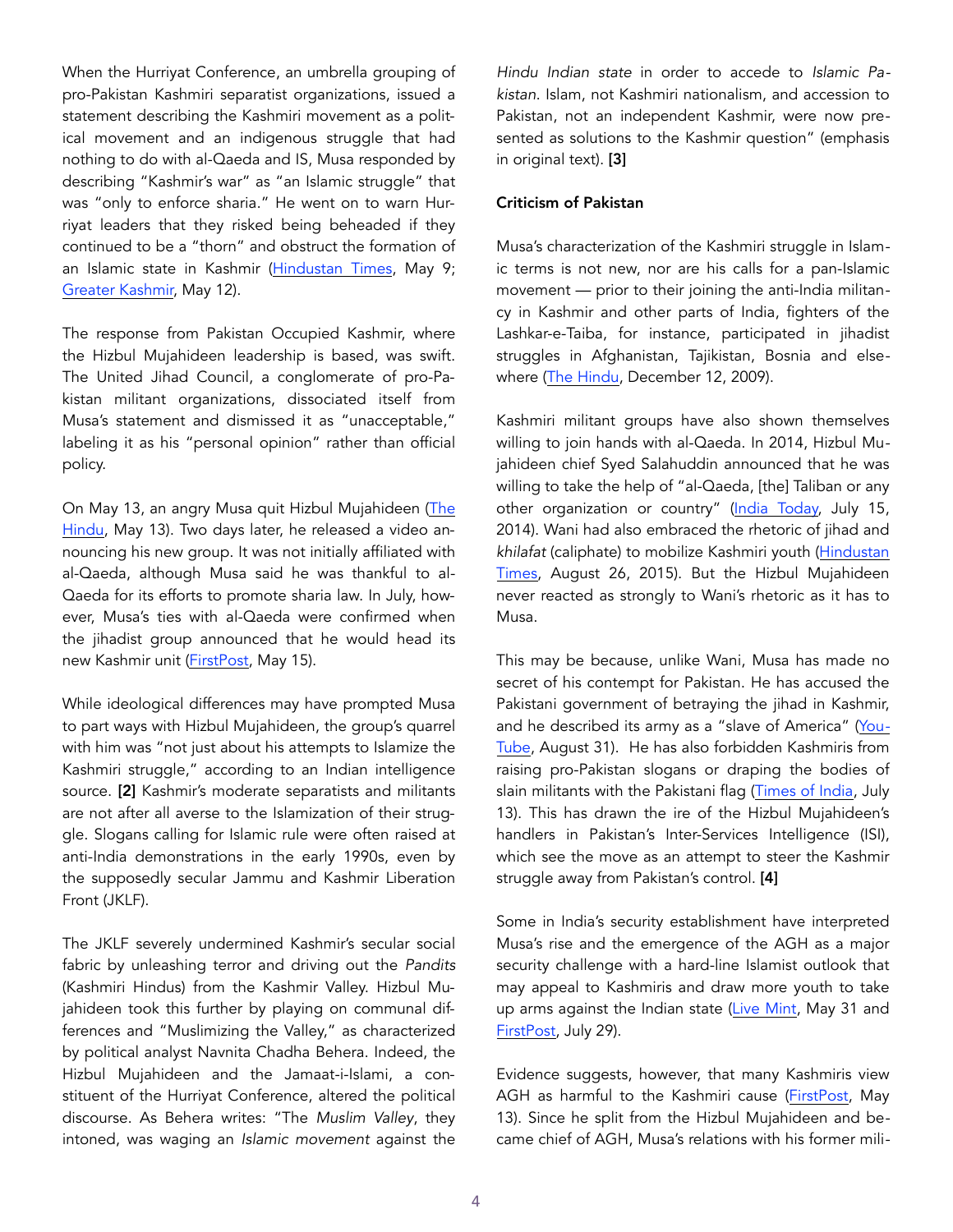When the Hurriyat Conference, an umbrella grouping of pro-Pakistan Kashmiri separatist organizations, issued a statement describing the Kashmiri movement as a political movement and an indigenous struggle that had nothing to do with al-Qaeda and IS, Musa responded by describing "Kashmir's war" as "an Islamic struggle" that was "only to enforce sharia." He went on to warn Hurriyat leaders that they risked being beheaded if they continued to be a "thorn" and obstruct the formation of an Islamic state in Kashmir [\(Hindustan Times](http://www.hindustantimes.com/india-news/kashmir-s-freedom-struggle-has-nothing-to-do-with-is-al-qaeda-separatists/story-stxnuQjxWI7hxwufZZN0nJ.html), May 9; [Greater Kashmir,](http://www.greaterkashmir.com/news/kashmir/hizb-commander-zakir-warns-hurriyat-for-terming-kashmir-struggle-political/249153.html) May 12).

The response from Pakistan Occupied Kashmir, where the Hizbul Mujahideen leadership is based, was swift. The United Jihad Council, a conglomerate of pro-Pakistan militant organizations, dissociated itself from Musa's statement and dismissed it as "unacceptable," labeling it as his "personal opinion" rather than official policy.

On May 13, an angry Musa quit Hizbul Mujahideen ([The](http://www.thehindu.com/news/national/hizb-commander-quits-over-ideological-differences/article18449368.ece)  [Hindu,](http://www.thehindu.com/news/national/hizb-commander-quits-over-ideological-differences/article18449368.ece) May 13). Two days later, he released a video announcing his new group. It was not initially affiliated with al-Qaeda, although Musa said he was thankful to al-Qaeda for its efforts to promote sharia law. In July, however, Musa's ties with al-Qaeda were confirmed when the jihadist group announced that he would head its new Kashmir unit ([FirstPost,](http://www.firstpost.com/india/zakir-musa-floats-new-militant-outfit-former-hizbul-mujahideen-commander-supports-al-qaeda-in-video-3446602.html) May 15).

While ideological differences may have prompted Musa to part ways with Hizbul Mujahideen, the group's quarrel with him was "not just about his attempts to Islamize the Kashmiri struggle," according to an Indian intelligence source. [2] Kashmir's moderate separatists and militants are not after all averse to the Islamization of their struggle. Slogans calling for Islamic rule were often raised at anti-India demonstrations in the early 1990s, even by the supposedly secular Jammu and Kashmir Liberation Front (JKLF).

The JKLF severely undermined Kashmir's secular social fabric by unleashing terror and driving out the *Pandits* (Kashmiri Hindus) from the Kashmir Valley. Hizbul Mujahideen took this further by playing on communal differences and "Muslimizing the Valley," as characterized by political analyst Navnita Chadha Behera. Indeed, the Hizbul Mujahideen and the Jamaat-i-Islami, a constituent of the Hurriyat Conference, altered the political discourse. As Behera writes: "The *Muslim Valley*, they intoned, was waging an *Islamic movement* against the

*Hindu Indian state* in order to accede to *Islamic Pakistan*. Islam, not Kashmiri nationalism, and accession to Pakistan, not an independent Kashmir, were now presented as solutions to the Kashmir question" (emphasis in original text). [3]

## Criticism of Pakistan

Musa's characterization of the Kashmiri struggle in Islamic terms is not new, nor are his calls for a pan-Islamic movement — prior to their joining the anti-India militancy in Kashmir and other parts of India, fighters of the Lashkar-e-Taiba, for instance, participated in jihadist struggles in Afghanistan, Tajikistan, Bosnia and elsewhere ([The Hindu,](http://www.thehindu.com/opinion/lead/Ties-that-bind-Lashkar-and-the-global-jihad/article16852900.ece) December 12, 2009).

Kashmiri militant groups have also shown themselves willing to join hands with al-Qaeda. In 2014, Hizbul Mujahideen chief Syed Salahuddin announced that he was willing to take the help of "al-Qaeda, [the] Taliban or any other organization or country" ([India Today,](http://indiatoday.intoday.in/story/syed-salahuddin-invites-taliban-al-qaeda-for-jihad-against-india/1/372441.html) July 15, 2014). Wani had also embraced the rhetoric of jihad and *khilafat* (caliphate) to mobilize Kashmiri youth ([Hindustan](http://www.hindustantimes.com/india/in-new-video-j-k-militant-burhan-wani-asks-youth-to-join-him/story-q83k8ndWm2Wf6TUWI5TtmN.html)  [Times,](http://www.hindustantimes.com/india/in-new-video-j-k-militant-burhan-wani-asks-youth-to-join-him/story-q83k8ndWm2Wf6TUWI5TtmN.html) August 26, 2015). But the Hizbul Mujahideen never reacted as strongly to Wani's rhetoric as it has to Musa.

This may be because, unlike Wani, Musa has made no secret of his contempt for Pakistan. He has accused the Pakistani government of betraying the jihad in Kashmir, and he described its army as a "slave of America" [\(You](https://www.youtube.com/watch?v=omyH41GEYB8)-[Tube](https://www.youtube.com/watch?v=omyH41GEYB8), August 31). He has also forbidden Kashmiris from raising pro-Pakistan slogans or draping the bodies of slain militants with the Pakistani flag [\(Times of India,](https://timesofindia.indiatimes.com/india/hizbul-renegade-forbids-pro-pak-slogans-at-funeral-of-slain-terrorists/articleshow/59569883.cms) July 13). This has drawn the ire of the Hizbul Mujahideen's handlers in Pakistan's Inter-Services Intelligence (ISI), which see the move as an attempt to steer the Kashmir struggle away from Pakistan's control. [4]

Some in India's security establishment have interpreted Musa's rise and the emergence of the AGH as a major security challenge with a hard-line Islamist outlook that may appeal to Kashmiris and draw more youth to take up arms against the Indian state ([Live Mint,](http://www.livemint.com/Politics/PlrbwXL5pXxH4x8DXSTxXP/Zakir-Musas-rise-may-give-terror-in-Kashmir-a-religious-til.html) May 31 and [FirstPost](http://www.firstpost.com/india/al-qaedas-foray-into-kashmir-poses-challenge-because-of-zakir-musas-potential-to-mobilise-youth-3869639.html), July 29).

Evidence suggests, however, that many Kashmiris view AGH as harmful to the Kashmiri cause [\(FirstPost,](http://www.firstpost.com/india/hizbul-commander-zakir-musas-threat-to-hurriyat-evokes-widespread-condemnation-in-kashmir-valley-3442996.html) May 13). Since he split from the Hizbul Mujahideen and became chief of AGH, Musa's relations with his former mili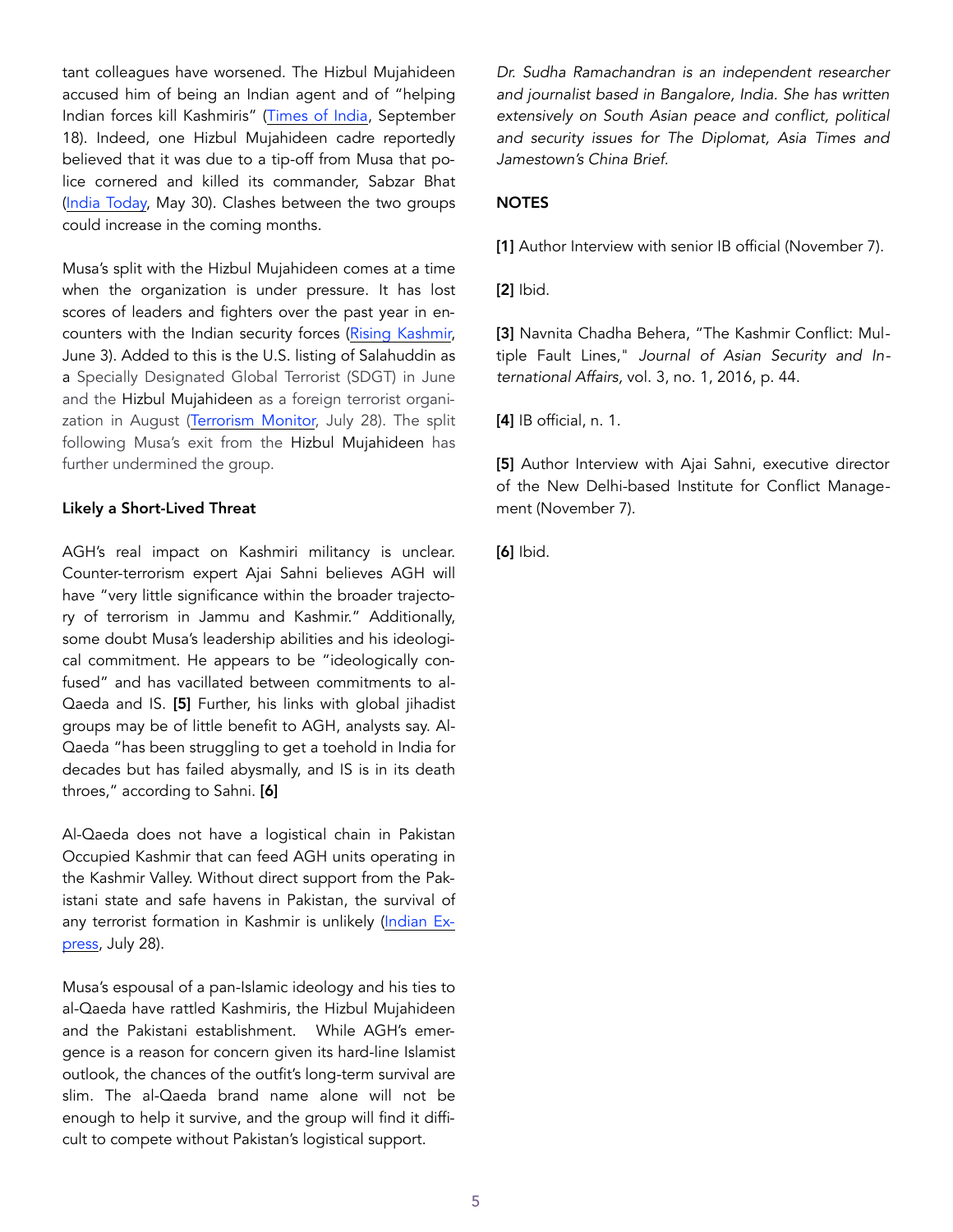tant colleagues have worsened. The Hizbul Mujahideen accused him of being an Indian agent and of "helping Indian forces kill Kashmiris" ([Times of India](https://timesofindia.indiatimes.com/india/hizbul-blames-zakir-musa-for-helping-forces-kill-kashmiris/articleshow/60725318.cms), September 18). Indeed, one Hizbul Mujahideen cadre reportedly believed that it was due to a tip-off from Musa that police cornered and killed its commander, Sabzar Bhat ([India Today,](http://indiatoday.intoday.in/story/sabzar-bhatt-zakir-musa-hizbul-burhan-wani-kashmir-militants/1/966135.html) May 30). Clashes between the two groups could increase in the coming months.

Musa's split with the Hizbul Mujahideen comes at a time when the organization is under pressure. It has lost scores of leaders and fighters over the past year in encounters with the Indian security forces ([Rising Kashmir,](http://www.risingkashmir.com/article/hizb-after-sabzar) June 3). Added to this is the U.S. listing of Salahuddin as a Specially Designated Global Terrorist (SDGT) in June and the Hizbul Mujahideen as a foreign terrorist organization in August [\(Terrorism Monitor,](https://jamestown.org/program/sanctioning-syed-salahuddin-too-little-too-late/) July 28). The split following Musa's exit from the Hizbul Mujahideen has further undermined the group.

## Likely a Short-Lived Threat

AGH's real impact on Kashmiri militancy is unclear. Counter-terrorism expert Ajai Sahni believes AGH will have "very little significance within the broader trajectory of terrorism in Jammu and Kashmir." Additionally, some doubt Musa's leadership abilities and his ideological commitment. He appears to be "ideologically confused" and has vacillated between commitments to al-Qaeda and IS. [5] Further, his links with global jihadist groups may be of little benefit to AGH, analysts say. Al-Qaeda "has been struggling to get a toehold in India for decades but has failed abysmally, and IS is in its death throes," according to Sahni. [6]

Al-Qaeda does not have a logistical chain in Pakistan Occupied Kashmir that can feed AGH units operating in the Kashmir Valley. Without direct support from the Pakistani state and safe havens in Pakistan, the survival of any terrorist formation in Kashmir is unlikely [\(Indian Ex](http://indianexpress.com/article/india/al-qaeda-sets-up-valley-wing-with-chandigarh-college-dropout-as-chief-4770684/)[press](http://indianexpress.com/article/india/al-qaeda-sets-up-valley-wing-with-chandigarh-college-dropout-as-chief-4770684/), July 28).

Musa's espousal of a pan-Islamic ideology and his ties to al-Qaeda have rattled Kashmiris, the Hizbul Mujahideen and the Pakistani establishment. While AGH's emergence is a reason for concern given its hard-line Islamist outlook, the chances of the outfit's long-term survival are slim. The al-Qaeda brand name alone will not be enough to help it survive, and the group will find it difficult to compete without Pakistan's logistical support.

*Dr. Sudha Ramachandran is an independent researcher and journalist based in Bangalore, India. She has written extensively on South Asian peace and conflict, political and security issues for The Diplomat, Asia Times and Jamestown's China Brief.* 

# **NOTES**

[1] Author Interview with senior IB official (November 7).

[2] Ibid.

[3] Navnita Chadha Behera, "The Kashmir Conflict: Multiple Fault Lines," *Journal of Asian Security and International Affairs,* vol. 3, no. 1, 2016, p. 44.

[4] IB official, n. 1.

[5] Author Interview with Ajai Sahni, executive director of the New Delhi-based Institute for Conflict Management (November 7).

[6] Ibid.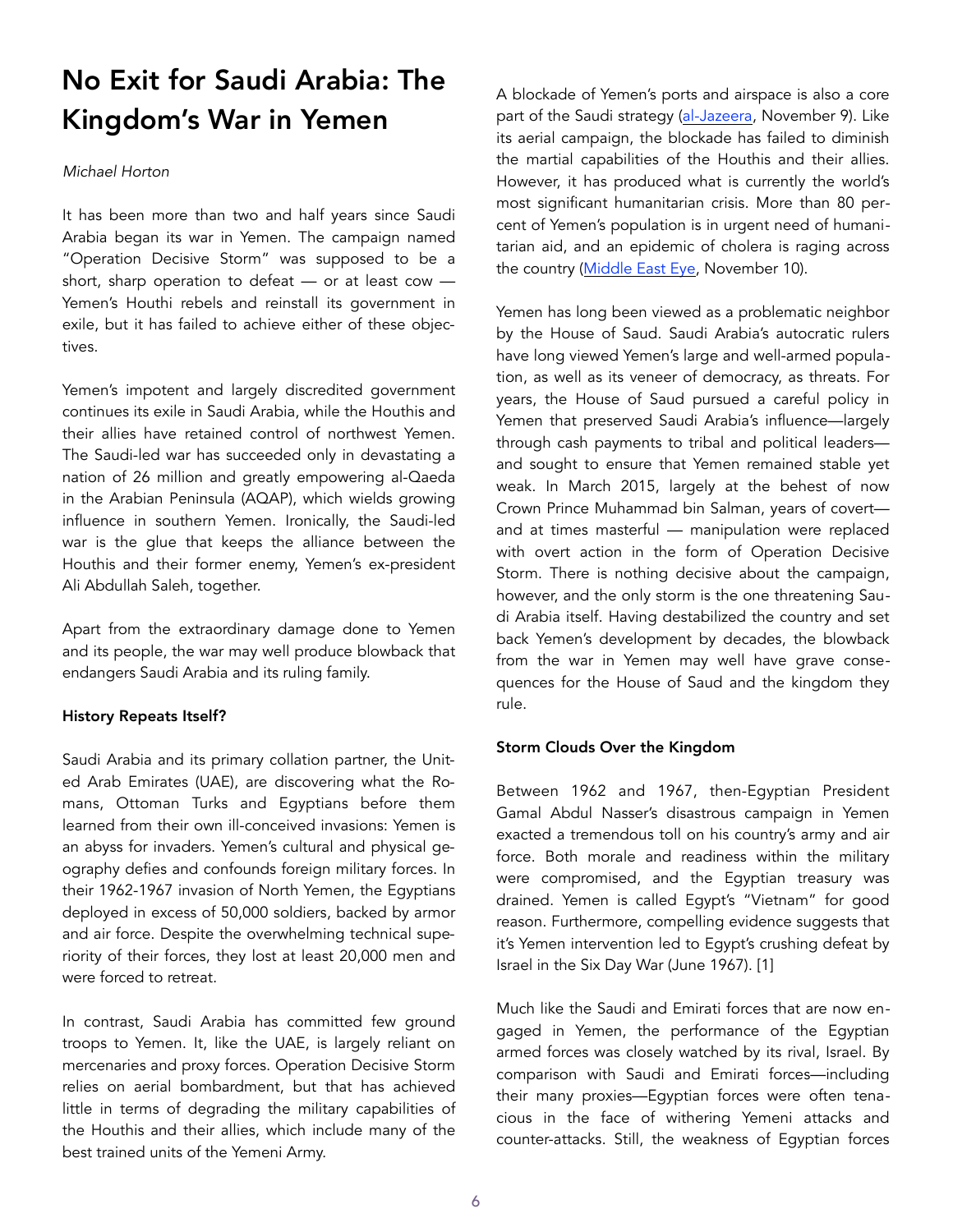# No Exit for Saudi Arabia: The Kingdom's War in Yemen

## *Michael Horton*

It has been more than two and half years since Saudi Arabia began its war in Yemen. The campaign named "Operation Decisive Storm" was supposed to be a short, sharp operation to defeat — or at least cow — Yemen's Houthi rebels and reinstall its government in exile, but it has failed to achieve either of these objectives.

Yemen's impotent and largely discredited government continues its exile in Saudi Arabia, while the Houthis and their allies have retained control of northwest Yemen. The Saudi-led war has succeeded only in devastating a nation of 26 million and greatly empowering al-Qaeda in the Arabian Peninsula (AQAP), which wields growing influence in southern Yemen. Ironically, the Saudi-led war is the glue that keeps the alliance between the Houthis and their former enemy, Yemen's ex-president Ali Abdullah Saleh, together.

Apart from the extraordinary damage done to Yemen and its people, the war may well produce blowback that endangers Saudi Arabia and its ruling family.

# History Repeats Itself?

Saudi Arabia and its primary collation partner, the United Arab Emirates (UAE), are discovering what the Romans, Ottoman Turks and Egyptians before them learned from their own ill-conceived invasions: Yemen is an abyss for invaders. Yemen's cultural and physical geography defies and confounds foreign military forces. In their 1962-1967 invasion of North Yemen, the Egyptians deployed in excess of 50,000 soldiers, backed by armor and air force. Despite the overwhelming technical superiority of their forces, they lost at least 20,000 men and were forced to retreat.

In contrast, Saudi Arabia has committed few ground troops to Yemen. It, like the UAE, is largely reliant on mercenaries and proxy forces. Operation Decisive Storm relies on aerial bombardment, but that has achieved little in terms of degrading the military capabilities of the Houthis and their allies, which include many of the best trained units of the Yemeni Army.

A blockade of Yemen's ports and airspace is also a core part of the Saudi strategy ([al-Jazeera,](http://www.aljazeera.com/news/2017/11/yemen-facing-massive-famine-blockade-lifted-171109035915768.html) November 9). Like its aerial campaign, the blockade has failed to diminish the martial capabilities of the Houthis and their allies. However, it has produced what is currently the world's most significant humanitarian crisis. More than 80 percent of Yemen's population is in urgent need of humanitarian aid, and an epidemic of cholera is raging across the country ([Middle East Eye,](http://www.middleeasteye.net/news/saudi-led-coalition-block-aid-yemen-famine-worsens-1184049750) November 10).

Yemen has long been viewed as a problematic neighbor by the House of Saud. Saudi Arabia's autocratic rulers have long viewed Yemen's large and well-armed population, as well as its veneer of democracy, as threats. For years, the House of Saud pursued a careful policy in Yemen that preserved Saudi Arabia's influence—largely through cash payments to tribal and political leaders and sought to ensure that Yemen remained stable yet weak. In March 2015, largely at the behest of now Crown Prince Muhammad bin Salman, years of covert and at times masterful — manipulation were replaced with overt action in the form of Operation Decisive Storm. There is nothing decisive about the campaign, however, and the only storm is the one threatening Saudi Arabia itself. Having destabilized the country and set back Yemen's development by decades, the blowback from the war in Yemen may well have grave consequences for the House of Saud and the kingdom they rule.

# Storm Clouds Over the Kingdom

Between 1962 and 1967, then-Egyptian President Gamal Abdul Nasser's disastrous campaign in Yemen exacted a tremendous toll on his country's army and air force. Both morale and readiness within the military were compromised, and the Egyptian treasury was drained. Yemen is called Egypt's "Vietnam" for good reason. Furthermore, compelling evidence suggests that it's Yemen intervention led to Egypt's crushing defeat by Israel in the Six Day War (June 1967). [1]

Much like the Saudi and Emirati forces that are now engaged in Yemen, the performance of the Egyptian armed forces was closely watched by its rival, Israel. By comparison with Saudi and Emirati forces—including their many proxies—Egyptian forces were often tenacious in the face of withering Yemeni attacks and counter-attacks. Still, the weakness of Egyptian forces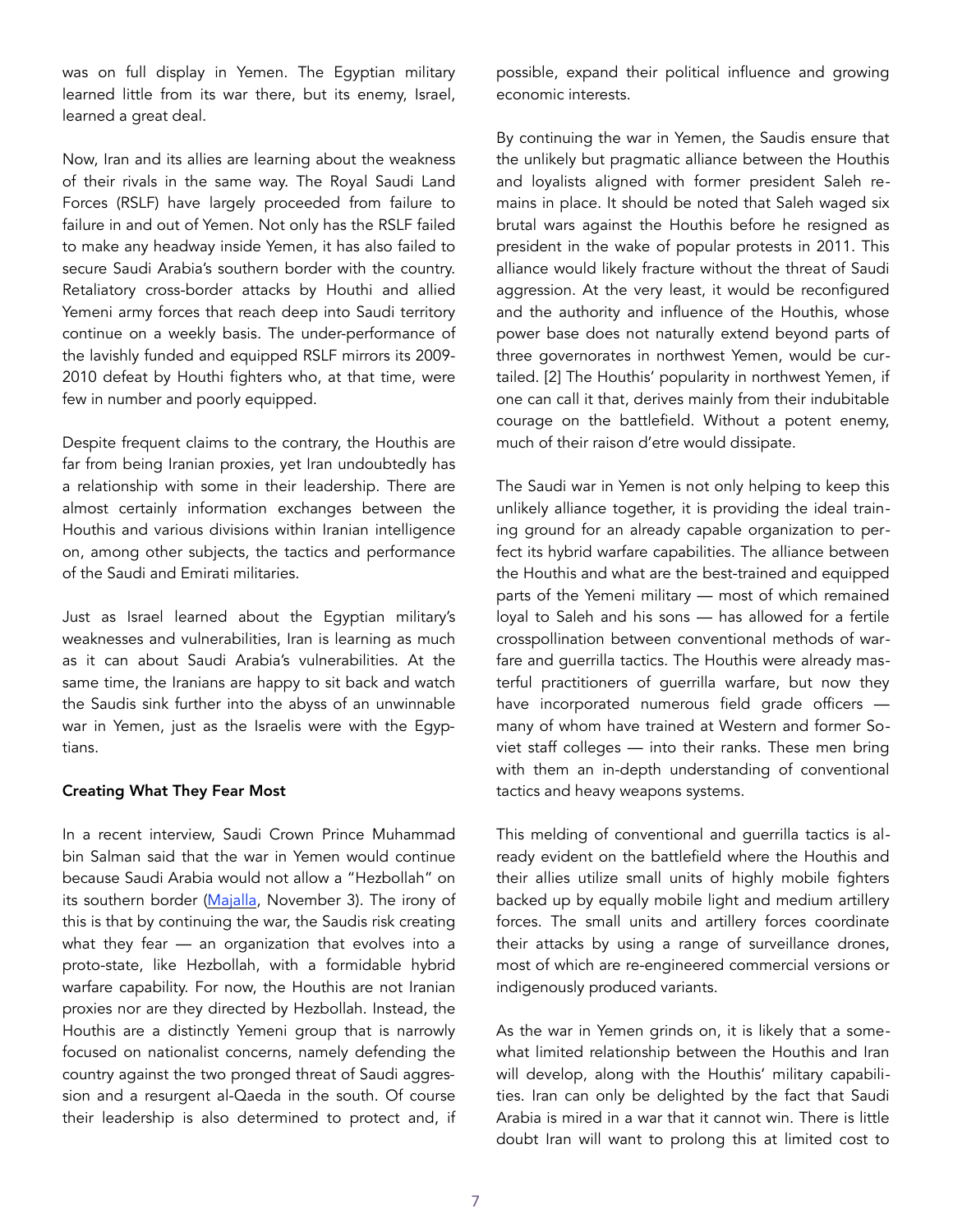was on full display in Yemen. The Egyptian military learned little from its war there, but its enemy, Israel, learned a great deal.

Now, Iran and its allies are learning about the weakness of their rivals in the same way. The Royal Saudi Land Forces (RSLF) have largely proceeded from failure to failure in and out of Yemen. Not only has the RSLF failed to make any headway inside Yemen, it has also failed to secure Saudi Arabia's southern border with the country. Retaliatory cross-border attacks by Houthi and allied Yemeni army forces that reach deep into Saudi territory continue on a weekly basis. The under-performance of the lavishly funded and equipped RSLF mirrors its 2009- 2010 defeat by Houthi fighters who, at that time, were few in number and poorly equipped.

Despite frequent claims to the contrary, the Houthis are far from being Iranian proxies, yet Iran undoubtedly has a relationship with some in their leadership. There are almost certainly information exchanges between the Houthis and various divisions within Iranian intelligence on, among other subjects, the tactics and performance of the Saudi and Emirati militaries.

Just as Israel learned about the Egyptian military's weaknesses and vulnerabilities, Iran is learning as much as it can about Saudi Arabia's vulnerabilities. At the same time, the Iranians are happy to sit back and watch the Saudis sink further into the abyss of an unwinnable war in Yemen, just as the Israelis were with the Egyptians.

#### Creating What They Fear Most

In a recent interview, Saudi Crown Prince Muhammad bin Salman said that the war in Yemen would continue because Saudi Arabia would not allow a "Hezbollah" on its southern border [\(Majalla,](http://eng.majalla.com/2017/11/article55254798/houthis-yemeni-hezbollah) November 3). The irony of this is that by continuing the war, the Saudis risk creating what they fear — an organization that evolves into a proto-state, like Hezbollah, with a formidable hybrid warfare capability. For now, the Houthis are not Iranian proxies nor are they directed by Hezbollah. Instead, the Houthis are a distinctly Yemeni group that is narrowly focused on nationalist concerns, namely defending the country against the two pronged threat of Saudi aggression and a resurgent al-Qaeda in the south. Of course their leadership is also determined to protect and, if

possible, expand their political influence and growing economic interests.

By continuing the war in Yemen, the Saudis ensure that the unlikely but pragmatic alliance between the Houthis and loyalists aligned with former president Saleh remains in place. It should be noted that Saleh waged six brutal wars against the Houthis before he resigned as president in the wake of popular protests in 2011. This alliance would likely fracture without the threat of Saudi aggression. At the very least, it would be reconfigured and the authority and influence of the Houthis, whose power base does not naturally extend beyond parts of three governorates in northwest Yemen, would be curtailed. [2] The Houthis' popularity in northwest Yemen, if one can call it that, derives mainly from their indubitable courage on the battlefield. Without a potent enemy, much of their raison d'etre would dissipate.

The Saudi war in Yemen is not only helping to keep this unlikely alliance together, it is providing the ideal training ground for an already capable organization to perfect its hybrid warfare capabilities. The alliance between the Houthis and what are the best-trained and equipped parts of the Yemeni military — most of which remained loyal to Saleh and his sons — has allowed for a fertile crosspollination between conventional methods of warfare and guerrilla tactics. The Houthis were already masterful practitioners of guerrilla warfare, but now they have incorporated numerous field grade officers many of whom have trained at Western and former Soviet staff colleges — into their ranks. These men bring with them an in-depth understanding of conventional tactics and heavy weapons systems.

This melding of conventional and guerrilla tactics is already evident on the battlefield where the Houthis and their allies utilize small units of highly mobile fighters backed up by equally mobile light and medium artillery forces. The small units and artillery forces coordinate their attacks by using a range of surveillance drones, most of which are re-engineered commercial versions or indigenously produced variants.

As the war in Yemen grinds on, it is likely that a somewhat limited relationship between the Houthis and Iran will develop, along with the Houthis' military capabilities. Iran can only be delighted by the fact that Saudi Arabia is mired in a war that it cannot win. There is little doubt Iran will want to prolong this at limited cost to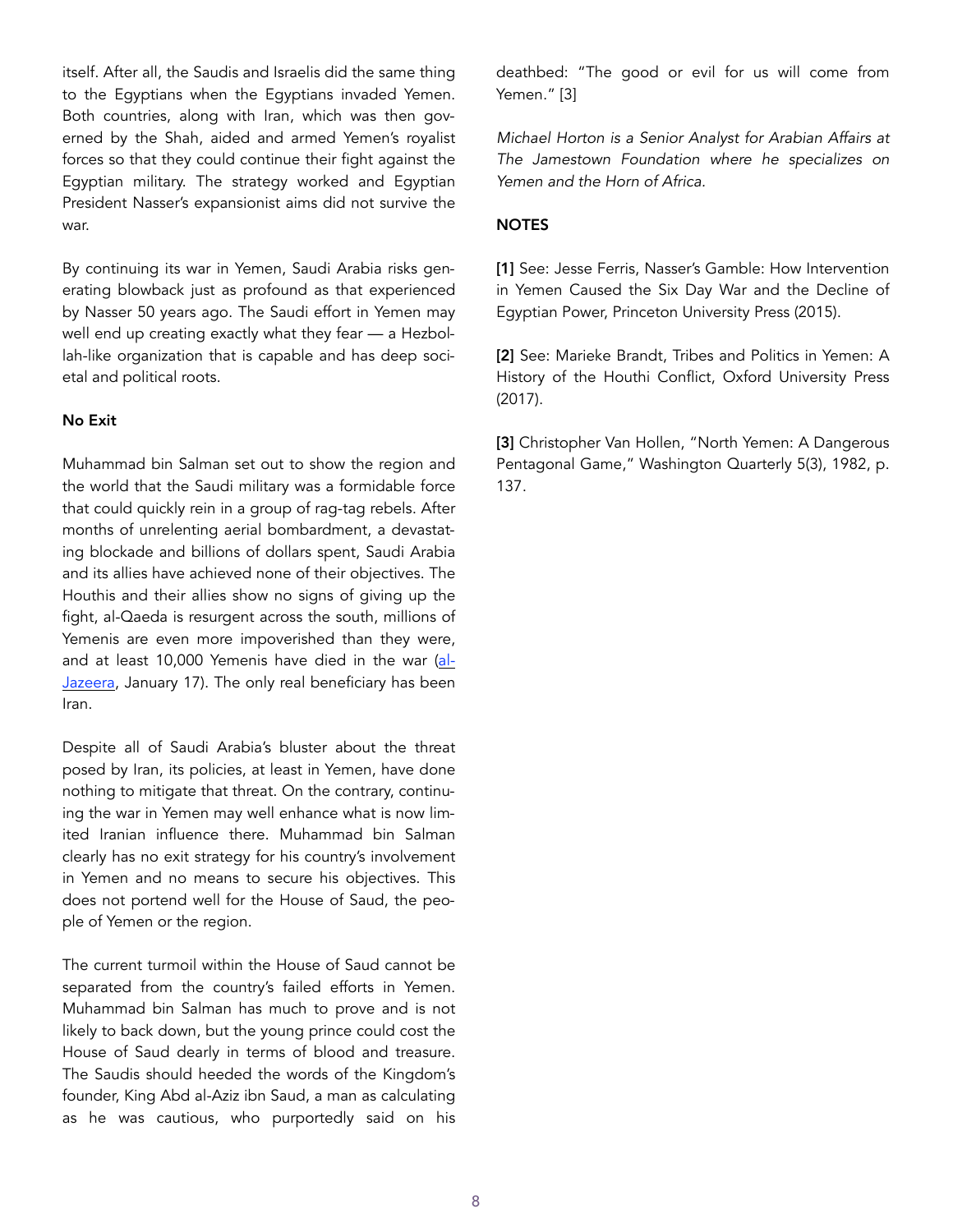itself. After all, the Saudis and Israelis did the same thing to the Egyptians when the Egyptians invaded Yemen. Both countries, along with Iran, which was then governed by the Shah, aided and armed Yemen's royalist forces so that they could continue their fight against the Egyptian military. The strategy worked and Egyptian President Nasser's expansionist aims did not survive the war.

By continuing its war in Yemen, Saudi Arabia risks generating blowback just as profound as that experienced by Nasser 50 years ago. The Saudi effort in Yemen may well end up creating exactly what they fear — a Hezbollah-like organization that is capable and has deep societal and political roots.

# No Exit

Muhammad bin Salman set out to show the region and the world that the Saudi military was a formidable force that could quickly rein in a group of rag-tag rebels. After months of unrelenting aerial bombardment, a devastating blockade and billions of dollars spent, Saudi Arabia and its allies have achieved none of their objectives. The Houthis and their allies show no signs of giving up the fight, al-Qaeda is resurgent across the south, millions of Yemenis are even more impoverished than they were, and at least 10,000 Yemenis have died in the war ([al-](http://www.aljazeera.com/news/2017/01/death-toll-yemen-conflict-passes-10000-170117040849576.html)[Jazeera,](http://www.aljazeera.com/news/2017/01/death-toll-yemen-conflict-passes-10000-170117040849576.html) January 17). The only real beneficiary has been Iran.

Despite all of Saudi Arabia's bluster about the threat posed by Iran, its policies, at least in Yemen, have done nothing to mitigate that threat. On the contrary, continuing the war in Yemen may well enhance what is now limited Iranian influence there. Muhammad bin Salman clearly has no exit strategy for his country's involvement in Yemen and no means to secure his objectives. This does not portend well for the House of Saud, the people of Yemen or the region.

The current turmoil within the House of Saud cannot be separated from the country's failed efforts in Yemen. Muhammad bin Salman has much to prove and is not likely to back down, but the young prince could cost the House of Saud dearly in terms of blood and treasure. The Saudis should heeded the words of the Kingdom's founder, King Abd al-Aziz ibn Saud, a man as calculating as he was cautious, who purportedly said on his deathbed: "The good or evil for us will come from Yemen." [3]

*Michael Horton is a Senior Analyst for Arabian Affairs at The Jamestown Foundation where he specializes on Yemen and the Horn of Africa.* 

## **NOTES**

[1] See: Jesse Ferris, Nasser's Gamble: How Intervention in Yemen Caused the Six Day War and the Decline of Egyptian Power, Princeton University Press (2015).

[2] See: Marieke Brandt, Tribes and Politics in Yemen: A History of the Houthi Conflict, Oxford University Press (2017).

[3] Christopher Van Hollen, "North Yemen: A Dangerous Pentagonal Game," Washington Quarterly 5(3), 1982, p. 137.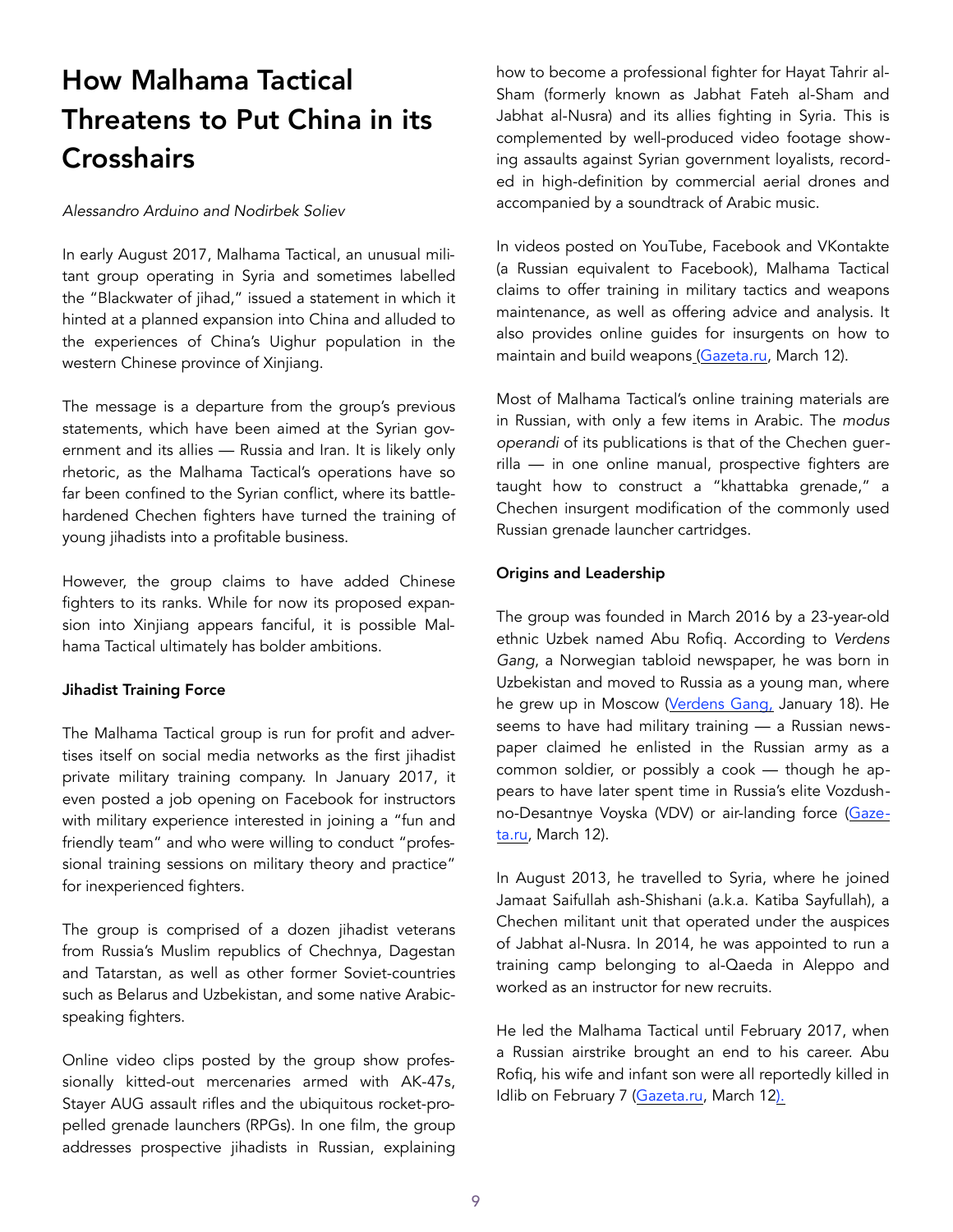# How Malhama Tactical Threatens to Put China in its **Crosshairs**

#### *Alessandro Arduino and Nodirbek Soliev*

In early August 2017, Malhama Tactical, an unusual militant group operating in Syria and sometimes labelled the "Blackwater of jihad," issued a statement in which it hinted at a planned expansion into China and alluded to the experiences of China's Uighur population in the western Chinese province of Xinjiang.

The message is a departure from the group's previous statements, which have been aimed at the Syrian government and its allies — Russia and Iran. It is likely only rhetoric, as the Malhama Tactical's operations have so far been confined to the Syrian conflict, where its battlehardened Chechen fighters have turned the training of young jihadists into a profitable business.

However, the group claims to have added Chinese fighters to its ranks. While for now its proposed expansion into Xinjiang appears fanciful, it is possible Malhama Tactical ultimately has bolder ambitions.

#### Jihadist Training Force

The Malhama Tactical group is run for profit and advertises itself on social media networks as the first jihadist private military training company. In January 2017, it even posted a job opening on Facebook for instructors with military experience interested in joining a "fun and friendly team" and who were willing to conduct "professional training sessions on military theory and practice" for inexperienced fighters.

The group is comprised of a dozen jihadist veterans from Russia's Muslim republics of Chechnya, Dagestan and Tatarstan, as well as other former Soviet-countries such as Belarus and Uzbekistan, and some native Arabicspeaking fighters.

Online video clips posted by the group show professionally kitted-out mercenaries armed with AK-47s, Stayer AUG assault rifles and the ubiquitous rocket-propelled grenade launchers (RPGs). In one film, the group addresses prospective jihadists in Russian, explaining how to become a professional fighter for Hayat Tahrir al-Sham (formerly known as Jabhat Fateh al-Sham and Jabhat al-Nusra) and its allies fighting in Syria. This is complemented by well-produced video footage showing assaults against Syrian government loyalists, recorded in high-definition by commercial aerial drones and accompanied by a soundtrack of Arabic music.

In videos posted on YouTube, Facebook and VKontakte (a Russian equivalent to Facebook), Malhama Tactical claims to offer training in military tactics and weapons maintenance, as well as offering advice and analysis. It also provides online guides for insurgents on how to maintain and build weapons [\(Gazeta.ru](https://www.gazeta.ru/politics/2017/03/11_a_10569935.shtml%22%20%5Cl%20%22page4), March 12).

Most of Malhama Tactical's online training materials are in Russian, with only a few items in Arabic. The *modus operandi* of its publications is that of the Chechen guerrilla — in one online manual, prospective fighters are taught how to construct a "khattabka grenade," a Chechen insurgent modification of the commonly used Russian grenade launcher cartridges.

## Origins and Leadership

The group was founded in March 2016 by a 23-year-old ethnic Uzbek named Abu Rofiq. According to *Verdens Gang*, a Norwegian tabloid newspaper, he was born in Uzbekistan and moved to Russia as a young man, where he grew up in Moscow ([Verdens Gang](http://www.vg.no/nyheter/utenriks/syria/al-qaida-krigere-i-syria-i-vg-intervju-klare-til-krig-mot-putin/a/23538234/), January 18). He seems to have had military training — a Russian newspaper claimed he enlisted in the Russian army as a common soldier, or possibly a cook — though he appears to have later spent time in Russia's elite Vozdush-no-Desantnye Voyska (VDV) or air-landing force ([Gaze](https://www.gazeta.ru/politics/2017/03/11_a_10569935.shtml%22%20%5Cl%20%22page4)[ta.ru](https://www.gazeta.ru/politics/2017/03/11_a_10569935.shtml%22%20%5Cl%20%22page4), March 12).

In August 2013, he travelled to Syria, where he joined Jamaat Saifullah ash-Shishani (a.k.a. Katiba Sayfullah), a Chechen militant unit that operated under the auspices of Jabhat al-Nusra. In 2014, he was appointed to run a training camp belonging to al-Qaeda in Aleppo and worked as an instructor for new recruits.

He led the Malhama Tactical until February 2017, when a Russian airstrike brought an end to his career. Abu Rofiq, his wife and infant son were all reportedly killed in Idlib on February 7 ([Gazeta.ru,](https://www.gazeta.ru/politics/2017/03/11_a_10569935.shtml%22%20%5Cl%20%22page2) March 12).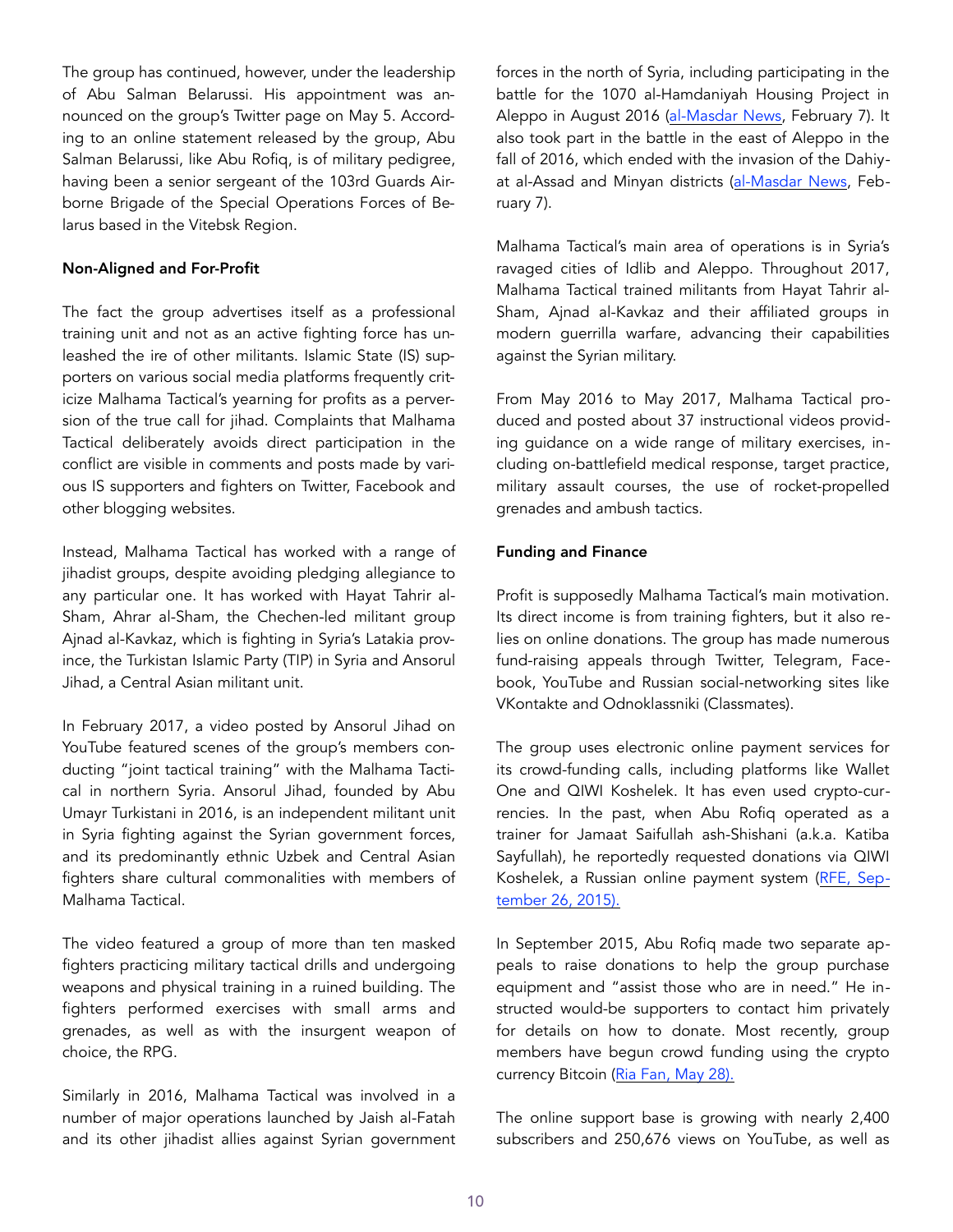The group has continued, however, under the leadership of Abu Salman Belarussi. His appointment was announced on the group's Twitter page on May 5. According to an online statement released by the group, Abu Salman Belarussi, like Abu Rofiq, is of military pedigree, having been a senior sergeant of the 103rd Guards Airborne Brigade of the Special Operations Forces of Belarus based in the Vitebsk Region.

## Non-Aligned and For-Profit

The fact the group advertises itself as a professional training unit and not as an active fighting force has unleashed the ire of other militants. Islamic State (IS) supporters on various social media platforms frequently criticize Malhama Tactical's yearning for profits as a perversion of the true call for jihad. Complaints that Malhama Tactical deliberately avoids direct participation in the conflict are visible in comments and posts made by various IS supporters and fighters on Twitter, Facebook and other blogging websites.

Instead, Malhama Tactical has worked with a range of jihadist groups, despite avoiding pledging allegiance to any particular one. It has worked with Hayat Tahrir al-Sham, Ahrar al-Sham, the Chechen-led militant group Ajnad al-Kavkaz, which is fighting in Syria's Latakia province, the Turkistan Islamic Party (TIP) in Syria and Ansorul Jihad, a Central Asian militant unit.

In February 2017, a video posted by Ansorul Jihad on YouTube featured scenes of the group's members conducting "joint tactical training" with the Malhama Tactical in northern Syria. Ansorul Jihad, founded by Abu Umayr Turkistani in 2016, is an independent militant unit in Syria fighting against the Syrian government forces, and its predominantly ethnic Uzbek and Central Asian fighters share cultural commonalities with members of Malhama Tactical.

The video featured a group of more than ten masked fighters practicing military tactical drills and undergoing weapons and physical training in a ruined building. The fighters performed exercises with small arms and grenades, as well as with the insurgent weapon of choice, the RPG.

Similarly in 2016, Malhama Tactical was involved in a number of major operations launched by Jaish al-Fatah and its other jihadist allies against Syrian government forces in the north of Syria, including participating in the battle for the 1070 al-Hamdaniyah Housing Project in Aleppo in August 2016 [\(al-Masdar News,](https://www.almasdarnews.com/article/unknown-airstrike-kills-elite-nusras-squad-leader-idlib/) February 7). It also took part in the battle in the east of Aleppo in the fall of 2016, which ended with the invasion of the Dahiyat al-Assad and Minyan districts ([al-Masdar News,](https://www.almasdarnews.com/article/unknown-airstrike-kills-elite-nusras-squad-leader-idlib/) February 7).

Malhama Tactical's main area of operations is in Syria's ravaged cities of Idlib and Aleppo. Throughout 2017, Malhama Tactical trained militants from Hayat Tahrir al-Sham, Ajnad al-Kavkaz and their affiliated groups in modern guerrilla warfare, advancing their capabilities against the Syrian military.

From May 2016 to May 2017, Malhama Tactical produced and posted about 37 instructional videos providing guidance on a wide range of military exercises, including on-battlefield medical response, target practice, military assault courses, the use of rocket-propelled grenades and ambush tactics.

## Funding and Finance

Profit is supposedly Malhama Tactical's main motivation. Its direct income is from training fighters, but it also relies on online donations. The group has made numerous fund-raising appeals through Twitter, Telegram, Facebook, YouTube and Russian social-networking sites like VKontakte and Odnoklassniki (Classmates).

The group uses electronic online payment services for its crowd-funding calls, including platforms like Wallet One and QIWI Koshelek. It has even used crypto-currencies. In the past, when Abu Rofiq operated as a trainer for Jamaat Saifullah ash-Shishani (a.k.a. Katiba Sayfullah), he reportedly requested donations via QIWI Koshelek, a Russian online payment system ([RFE,](https://www.rferl.org/a/islamic-state-al-nusra-front-crowdfunding/27272117.html) September 26, 2015).

In September 2015, Abu Rofiq made two separate appeals to raise donations to help the group purchase equipment and "assist those who are in need." He instructed would-be supporters to contact him privately for details on how to donate. Most recently, group members have begun crowd funding using the crypto currency Bitcoin ([Ria Fan](https://riafan.ru/789536-naemniki-dzhebkhat-an-nusry-nachali-prinimat-pozhertvovaniya-v-bitkoinakh), May 28).

The online support base is growing with nearly 2,400 subscribers and 250,676 views on YouTube, as well as